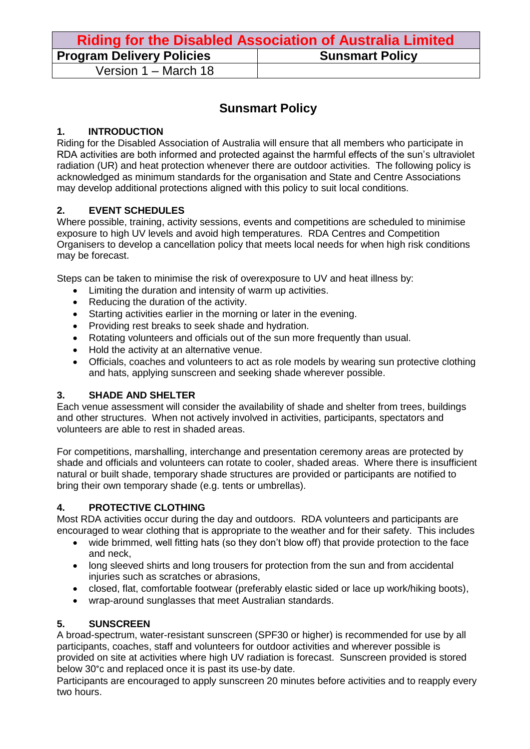| <b>Riding for the Disabled Association of Australia Limited</b> |                        |  |
|-----------------------------------------------------------------|------------------------|--|
| <b>Program Delivery Policies</b>                                | <b>Sunsmart Policy</b> |  |
| Version 1 – March 18                                            |                        |  |

## **Sunsmart Policy**

### **1. INTRODUCTION**

Riding for the Disabled Association of Australia will ensure that all members who participate in RDA activities are both informed and protected against the harmful effects of the sun's ultraviolet radiation (UR) and heat protection whenever there are outdoor activities. The following policy is acknowledged as minimum standards for the organisation and State and Centre Associations may develop additional protections aligned with this policy to suit local conditions.

### **2. EVENT SCHEDULES**

Where possible, training, activity sessions, events and competitions are scheduled to minimise exposure to high UV levels and avoid high temperatures. RDA Centres and Competition Organisers to develop a cancellation policy that meets local needs for when high risk conditions may be forecast.

Steps can be taken to minimise the risk of overexposure to UV and heat illness by:

- Limiting the duration and intensity of warm up activities.
- Reducing the duration of the activity.
- Starting activities earlier in the morning or later in the evening.
- Providing rest breaks to seek shade and hydration.
- Rotating volunteers and officials out of the sun more frequently than usual.
- Hold the activity at an alternative venue.
- Officials, coaches and volunteers to act as role models by wearing sun protective clothing and hats, applying sunscreen and seeking shade wherever possible.

### **3. SHADE AND SHELTER**

Each venue assessment will consider the availability of shade and shelter from trees, buildings and other structures. When not actively involved in activities, participants, spectators and volunteers are able to rest in shaded areas.

For competitions, marshalling, interchange and presentation ceremony areas are protected by shade and officials and volunteers can rotate to cooler, shaded areas. Where there is insufficient natural or built shade, temporary shade structures are provided or participants are notified to bring their own temporary shade (e.g. tents or umbrellas).

### **4. PROTECTIVE CLOTHING**

Most RDA activities occur during the day and outdoors. RDA volunteers and participants are encouraged to wear clothing that is appropriate to the weather and for their safety. This includes

- wide brimmed, well fitting hats (so they don't blow off) that provide protection to the face and neck,
- long sleeved shirts and long trousers for protection from the sun and from accidental injuries such as scratches or abrasions,
- closed, flat, comfortable footwear (preferably elastic sided or lace up work/hiking boots),
- wrap-around sunglasses that meet Australian standards.

### **5. SUNSCREEN**

A broad-spectrum, water-resistant sunscreen (SPF30 or higher) is recommended for use by all participants, coaches, staff and volunteers for outdoor activities and wherever possible is provided on site at activities where high UV radiation is forecast. Sunscreen provided is stored below 30°c and replaced once it is past its use-by date.

Participants are encouraged to apply sunscreen 20 minutes before activities and to reapply every two hours.